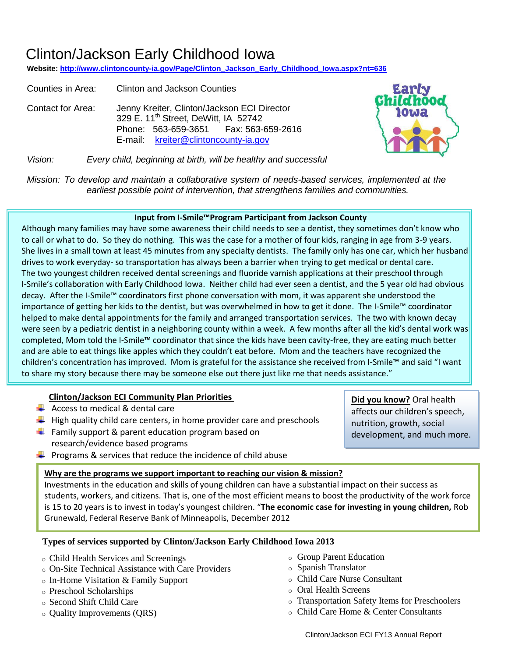# Clinton/Jackson Early Childhood Iowa

**Website[: http://www.clintoncounty-ia.gov/Page/Clinton\\_Jackson\\_Early\\_Childhood\\_Iowa.aspx?nt=636](http://www.clintoncounty-ia.gov/Page/Clinton_Jackson_Early_Childhood_Iowa.aspx?nt=636)**

Counties in Area: Clinton and Jackson Counties Contact for Area: Jenny Kreiter, Clinton/Jackson ECI Director 329 E. 11<sup>th</sup> Street, DeWitt, IA 52742 Phone: 563-659-3651 Fax: 563-659-2616 E-mail: kreiter@clintoncounty-ia.gov



**Did you know?** Oral health affects our children's speech, nutrition, growth, social

development, and much more.

*Vision: Every child, beginning at birth, will be healthy and successful*

*Mission: To develop and maintain a collaborative system of needs-based services, implemented at the earliest possible point of intervention, that strengthens families and communities.*

#### **Input from I-Smile™Program Participant from Jackson County**

Although many families may have some awareness their child needs to see a dentist, they sometimes don't know who to call or what to do. So they do nothing. This was the case for a mother of four kids, ranging in age from 3-9 years. She lives in a small town at least 45 minutes from any specialty dentists. The family only has one car, which her husband drives to work everyday- so transportation has always been a barrier when trying to get medical or dental care. The two youngest children received dental screenings and fluoride varnish applications at their preschool through I-Smile's collaboration with Early Childhood Iowa. Neither child had ever seen a dentist, and the 5 year old had obvious decay. After the I-Smile™ coordinators first phone conversation with mom, it was apparent she understood the importance of getting her kids to the dentist, but was overwhelmed in how to get it done. The I-Smile™ coordinator helped to make dental appointments for the family and arranged transportation services. The two with known decay were seen by a pediatric dentist in a neighboring county within a week. A few months after all the kid's dental work was completed, Mom told the I-Smile™ coordinator that since the kids have been cavity-free, they are eating much better and are able to eat things like apples which they couldn't eat before. Mom and the teachers have recognized the children's concentration has improved. Mom is grateful for the assistance she received from I-Smile™ and said "I want to share my story because there may be someone else out there just like me that needs assistance."

#### **Clinton/Jackson ECI Community Plan Priorities**

- $\leftarrow$  Access to medical & dental care
- $\ddot{\phantom{1}}$  High quality child care centers, in home provider care and preschools
- $\frac{1}{2}$  Family support & parent education program based on research/evidence based programs
- $\ddot{\bullet}$  Programs & services that reduce the incidence of child abuse

#### **Why are the programs we support important to reaching our vision & mission?**

Investments in the education and skills of young children can have a substantial impact on their success as students, workers, and citizens. That is, one of the most efficient means to boost the productivity of the work force is 15 to 20 years is to invest in today's youngest children. "**The economic case for investing in young children,** Rob Grunewald, Federal Reserve Bank of Minneapolis, December 2012

#### **Types of services supported by Clinton/Jackson Early Childhood Iowa 2013**

- o Child Health Services and Screenings
- o On-Site Technical Assistance with Care Providers
- o In-Home Visitation & Family Support
- o Preschool Scholarships
- o Second Shift Child Care
- o Quality Improvements (QRS)
- o Group Parent Education
- o Spanish Translator
- o Child Care Nurse Consultant
- o Oral Health Screens
- o Transportation Safety Items for Preschoolers
- o Child Care Home & Center Consultants